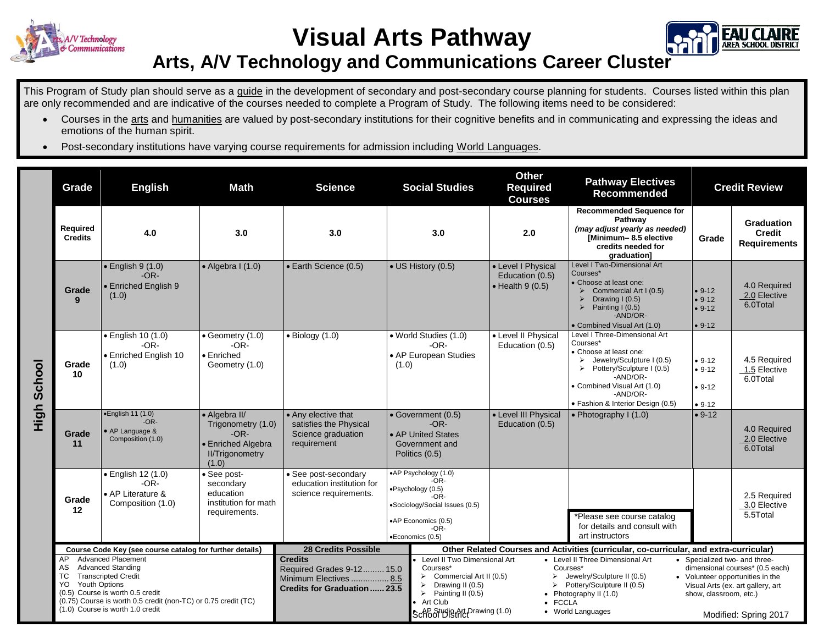

**Visual Arts Pathway**



## **Arts, A/V Technology and Communications Career Cluster**

This Program of Study plan should serve as a guide in the development of secondary and post-secondary course planning for students. Courses listed within this plan are only recommended and are indicative of the courses needed to complete a Program of Study. The following items need to be considered:

- Courses in the arts and humanities are valued by post-secondary institutions for their cognitive benefits and in communicating and expressing the ideas and emotions of the human spirit.
- Post-secondary institutions have varying course requirements for admission including World Languages.

| Required<br>4.0<br>3.0<br>3.0<br>3.0<br>2.0<br><b>Credits</b><br>$\bullet$ English 9 (1.0)<br>$\bullet$ Algebra I (1.0)<br>• Earth Science (0.5)<br>• US History (0.5)<br>• Level I Physical<br>Courses*<br>$-OR-$<br>Education (0.5)<br>• Enriched English 9<br>$\bullet$ Health 9 (0.5)<br>Grade<br>(1.0)<br>$\blacktriangleright$<br>9<br>• English 10 (1.0)<br>$\bullet$ Geometry (1.0)<br>$\bullet$ Biology (1.0)<br>• World Studies (1.0)<br>• Level II Physical<br>Courses*<br>$-OR-$<br>$-OR-$<br>$-OR-$<br>Education (0.5)<br>• Enriched English 10<br>• Enriched<br>• AP European Studies<br>$\triangleright$<br>Grade<br>(1.0)<br>Geometry (1.0)<br>(1.0)<br>$\blacktriangleright$<br>10<br>$\bullet$ English 11 (1.0)<br>• Level III Physical<br>• Algebra II/<br>• Any elective that<br>• Government (0.5) | <b>Recommended Sequence for</b>                                                                                                                                                                                                                             |                                                                                                          |
|-------------------------------------------------------------------------------------------------------------------------------------------------------------------------------------------------------------------------------------------------------------------------------------------------------------------------------------------------------------------------------------------------------------------------------------------------------------------------------------------------------------------------------------------------------------------------------------------------------------------------------------------------------------------------------------------------------------------------------------------------------------------------------------------------------------------------|-------------------------------------------------------------------------------------------------------------------------------------------------------------------------------------------------------------------------------------------------------------|----------------------------------------------------------------------------------------------------------|
|                                                                                                                                                                                                                                                                                                                                                                                                                                                                                                                                                                                                                                                                                                                                                                                                                         | Pathwav<br>(may adjust yearly as needed)<br>[Minimum-8.5 elective<br>Grade<br>credits needed for<br>graduation]                                                                                                                                             | Graduation<br><b>Credit</b><br><b>Requirements</b>                                                       |
| School<br>High                                                                                                                                                                                                                                                                                                                                                                                                                                                                                                                                                                                                                                                                                                                                                                                                          | Level I Two-Dimensional Art<br>• Choose at least one:<br>$9 - 12$<br>Commercial Art I (0.5)<br>Drawing I (0.5)<br>$9 - 12$<br>Painting I (0.5)<br>$• 9-12$<br>-AND/OR-<br>• Combined Visual Art (1.0)<br>$9 - 12$                                           | 4.0 Required<br>2.0 Elective<br>6.0Total                                                                 |
|                                                                                                                                                                                                                                                                                                                                                                                                                                                                                                                                                                                                                                                                                                                                                                                                                         | Level I Three-Dimensional Art<br>• Choose at least one:<br>Jewelry/Sculpture I (0.5)<br>$• 9-12$<br>Pottery/Sculpture I (0.5)<br>$• 9-12$<br>-AND/OR-<br>Combined Visual Art (1.0)<br>$• 9-12$<br>-AND/OR-<br>· Fashion & Interior Design (0.5)<br>$• 9-12$ | 4.5 Required<br>1.5 Elective<br>6.0Total                                                                 |
| $-OR-$<br>$-OR-$<br>Trigonometry (1.0)<br>satisfies the Physical<br>Education (0.5)<br>• AP Language &<br>$-OR-$<br>Grade<br>Science graduation<br>• AP United States<br>Composition (1.0)<br>requirement<br>11<br>• Enriched Algebra<br>Government and<br><b>II/Trigonometry</b><br>Politics (0.5)<br>(1.0)                                                                                                                                                                                                                                                                                                                                                                                                                                                                                                            | $• 9-12$<br>• Photography I (1.0)                                                                                                                                                                                                                           | 4.0 Required<br>2.0 Elective<br>6.0Total                                                                 |
| •AP Psychology (1.0)<br>· See post-<br>• English 12 (1.0)<br>• See post-secondary<br>$-OR-$<br>$-OR-$<br>secondary<br>education institution for<br>·Psychology (0.5)<br>education<br>science requirements.<br>• AP Literature &<br>$-OR-$<br>Grade<br>institution for math<br>Composition (1.0)<br>•Sociology/Social Issues (0.5)<br>12<br>requirements.<br>•AP Economics (0.5)<br>$-OR-$<br>•Economics (0.5)                                                                                                                                                                                                                                                                                                                                                                                                           | *Please see course catalog<br>for details and consult with<br>art instructors                                                                                                                                                                               | 2.5 Required<br>3.0 Elective<br>5.5Total                                                                 |
| <b>28 Credits Possible</b><br>Other Related Courses and Activities (curricular, co-curricular, and extra-curricular)<br>Course Code Key (see course catalog for further details)                                                                                                                                                                                                                                                                                                                                                                                                                                                                                                                                                                                                                                        |                                                                                                                                                                                                                                                             |                                                                                                          |
| <b>Advanced Placement</b><br>AP<br><b>Credits</b><br>Level II Two Dimensional Art<br><b>Advanced Standing</b><br>AS<br>Courses*<br>Courses*<br>Required Grades 9-12 15.0<br>ТC<br><b>Transcripted Credit</b><br>$\triangleright$ Commercial Art II (0.5)<br>➤<br>Minimum Electives  8.5<br>Youth Options<br>YO<br>Drawing II (0.5)<br>Credits for Graduation  23.5<br>(0.5) Course is worth 0.5 credit<br>$\triangleright$ Painting II (0.5)<br>Photography II (1.0)<br>$\bullet$<br>(0.75) Course is worth 0.5 credit (non-TC) or 0.75 credit (TC)<br>Art Club<br><b>FCCLA</b><br>(1.0) Course is worth 1.0 credit<br>School District Drawing (1.0)<br>• World Languages                                                                                                                                               | • Level II Three Dimensional Art<br>• Specialized two- and three-<br>Jewelry/Sculpture II (0.5)<br>Pottery/Sculpture II (0.5)<br>show, classroom, etc.)                                                                                                     | dimensional courses* (0.5 each)<br>• Volunteer opportunities in the<br>Visual Arts (ex. art gallery, art |